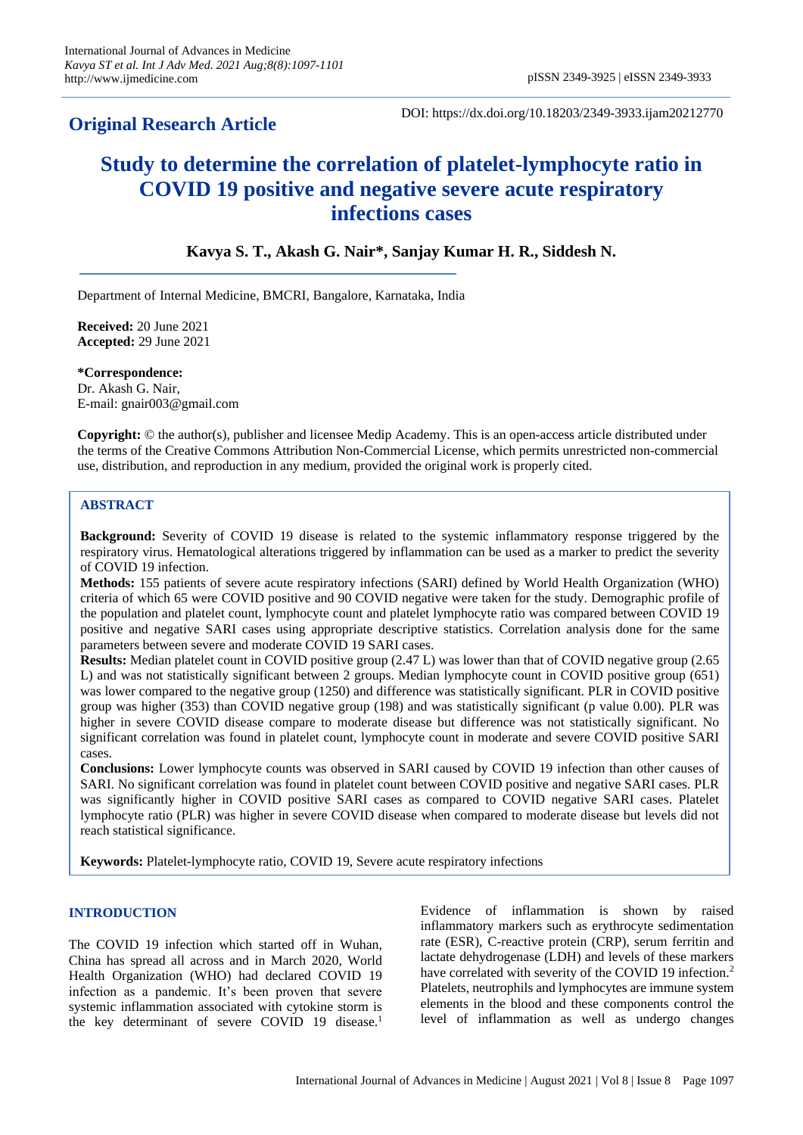# **Original Research Article**

DOI: https://dx.doi.org/10.18203/2349-3933.ijam20212770

# **Study to determine the correlation of platelet-lymphocyte ratio in COVID 19 positive and negative severe acute respiratory infections cases**

# **Kavya S. T., Akash G. Nair\*, Sanjay Kumar H. R., Siddesh N.**

Department of Internal Medicine, BMCRI, Bangalore, Karnataka, India

**Received:** 20 June 2021 **Accepted:** 29 June 2021

**\*Correspondence:** Dr. Akash G. Nair, E-mail: gnair003@gmail.com

**Copyright:** © the author(s), publisher and licensee Medip Academy. This is an open-access article distributed under the terms of the Creative Commons Attribution Non-Commercial License, which permits unrestricted non-commercial use, distribution, and reproduction in any medium, provided the original work is properly cited.

# **ABSTRACT**

**Background:** Severity of COVID 19 disease is related to the systemic inflammatory response triggered by the respiratory virus. Hematological alterations triggered by inflammation can be used as a marker to predict the severity of COVID 19 infection.

**Methods:** 155 patients of severe acute respiratory infections (SARI) defined by World Health Organization (WHO) criteria of which 65 were COVID positive and 90 COVID negative were taken for the study. Demographic profile of the population and platelet count, lymphocyte count and platelet lymphocyte ratio was compared between COVID 19 positive and negative SARI cases using appropriate descriptive statistics. Correlation analysis done for the same parameters between severe and moderate COVID 19 SARI cases.

**Results:** Median platelet count in COVID positive group (2.47 L) was lower than that of COVID negative group (2.65 L) and was not statistically significant between 2 groups. Median lymphocyte count in COVID positive group (651) was lower compared to the negative group (1250) and difference was statistically significant. PLR in COVID positive group was higher (353) than COVID negative group (198) and was statistically significant (p value 0.00). PLR was higher in severe COVID disease compare to moderate disease but difference was not statistically significant. No significant correlation was found in platelet count, lymphocyte count in moderate and severe COVID positive SARI cases.

**Conclusions:** Lower lymphocyte counts was observed in SARI caused by COVID 19 infection than other causes of SARI. No significant correlation was found in platelet count between COVID positive and negative SARI cases. PLR was significantly higher in COVID positive SARI cases as compared to COVID negative SARI cases. Platelet lymphocyte ratio (PLR) was higher in severe COVID disease when compared to moderate disease but levels did not reach statistical significance.

**Keywords:** Platelet-lymphocyte ratio, COVID 19, Severe acute respiratory infections

#### **INTRODUCTION**

The COVID 19 infection which started off in Wuhan, China has spread all across and in March 2020, World Health Organization (WHO) had declared COVID 19 infection as a pandemic. It's been proven that severe systemic inflammation associated with cytokine storm is the key determinant of severe COVID 19 disease.<sup>1</sup>

Evidence of inflammation is shown by raised inflammatory markers such as erythrocyte sedimentation rate (ESR), C-reactive protein (CRP), serum ferritin and lactate dehydrogenase (LDH) and levels of these markers have correlated with severity of the COVID 19 infection.<sup>2</sup> Platelets, neutrophils and lymphocytes are immune system elements in the blood and these components control the level of inflammation as well as undergo changes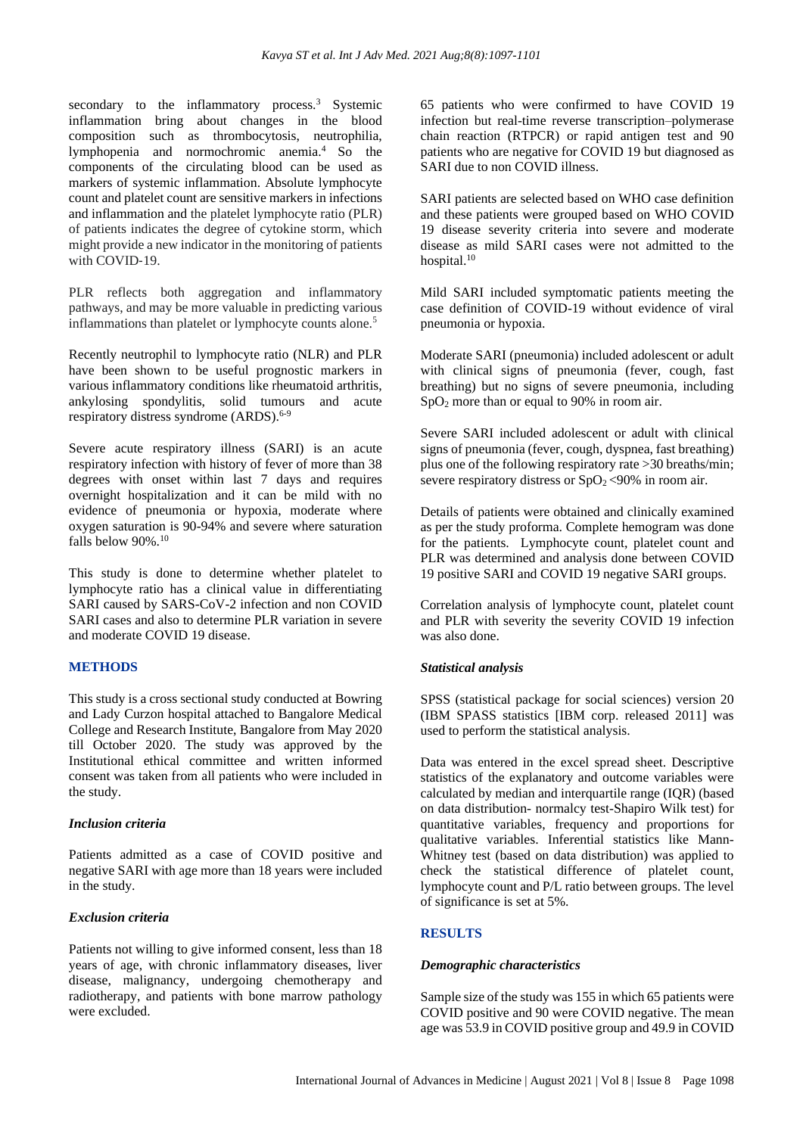secondary to the inflammatory process.<sup>3</sup> Systemic inflammation bring about changes in the blood composition such as thrombocytosis, neutrophilia, lymphopenia and normochromic anemia.<sup>4</sup> So the components of the circulating blood can be used as markers of systemic inflammation. Absolute lymphocyte count and platelet count are sensitive markers in infections and inflammation and the platelet lymphocyte ratio (PLR) of patients indicates the degree of cytokine storm, which might provide a new indicator in the monitoring of patients with COVID-19.

PLR reflects both aggregation and inflammatory pathways, and may be more valuable in predicting various inflammations than platelet or lymphocyte counts alone.<sup>5</sup>

Recently neutrophil to lymphocyte ratio (NLR) and PLR have been shown to be useful prognostic markers in various inflammatory conditions like rheumatoid arthritis, ankylosing spondylitis, solid tumours and acute respiratory distress syndrome (ARDS).<sup>6-9</sup>

Severe acute respiratory illness (SARI) is an acute respiratory infection with history of fever of more than 38 degrees with onset within last 7 days and requires overnight hospitalization and it can be mild with no evidence of pneumonia or hypoxia, moderate where oxygen saturation is 90-94% and severe where saturation falls below 90%.<sup>10</sup>

This study is done to determine whether platelet to lymphocyte ratio has a clinical value in differentiating SARI caused by SARS-CoV-2 infection and non COVID SARI cases and also to determine PLR variation in severe and moderate COVID 19 disease.

# **METHODS**

This study is a cross sectional study conducted at Bowring and Lady Curzon hospital attached to Bangalore Medical College and Research Institute, Bangalore from May 2020 till October 2020. The study was approved by the Institutional ethical committee and written informed consent was taken from all patients who were included in the study.

#### *Inclusion criteria*

Patients admitted as a case of COVID positive and negative SARI with age more than 18 years were included in the study.

#### *Exclusion criteria*

Patients not willing to give informed consent, less than 18 years of age, with chronic inflammatory diseases, liver disease, malignancy, undergoing chemotherapy and radiotherapy, and patients with bone marrow pathology were excluded.

65 patients who were confirmed to have COVID 19 infection but real-time reverse transcription–polymerase chain reaction (RTPCR) or rapid antigen test and 90 patients who are negative for COVID 19 but diagnosed as SARI due to non COVID illness.

SARI patients are selected based on WHO case definition and these patients were grouped based on WHO COVID 19 disease severity criteria into severe and moderate disease as mild SARI cases were not admitted to the hospital. 10

Mild SARI included symptomatic patients meeting the case definition of COVID-19 without evidence of viral pneumonia or hypoxia.

Moderate SARI (pneumonia) included adolescent or adult with clinical signs of pneumonia (fever, cough, fast breathing) but no signs of severe pneumonia, including  $SpO<sub>2</sub>$  more than or equal to 90% in room air.

Severe SARI included adolescent or adult with clinical signs of pneumonia (fever, cough, dyspnea, fast breathing) plus one of the following respiratory rate >30 breaths/min; severe respiratory distress or  $SpO<sub>2</sub> < 90\%$  in room air.

Details of patients were obtained and clinically examined as per the study proforma. Complete hemogram was done for the patients. Lymphocyte count, platelet count and PLR was determined and analysis done between COVID 19 positive SARI and COVID 19 negative SARI groups.

Correlation analysis of lymphocyte count, platelet count and PLR with severity the severity COVID 19 infection was also done.

#### *Statistical analysis*

SPSS (statistical package for social sciences) version 20 (IBM SPASS statistics [IBM corp. released 2011] was used to perform the statistical analysis.

Data was entered in the excel spread sheet. Descriptive statistics of the explanatory and outcome variables were calculated by median and interquartile range (IQR) (based on data distribution- normalcy test-Shapiro Wilk test) for quantitative variables, frequency and proportions for qualitative variables. Inferential statistics like Mann-Whitney test (based on data distribution) was applied to check the statistical difference of platelet count, lymphocyte count and P/L ratio between groups. The level of significance is set at 5%.

# **RESULTS**

#### *Demographic characteristics*

Sample size of the study was 155 in which 65 patients were COVID positive and 90 were COVID negative. The mean age was 53.9 in COVID positive group and 49.9 in COVID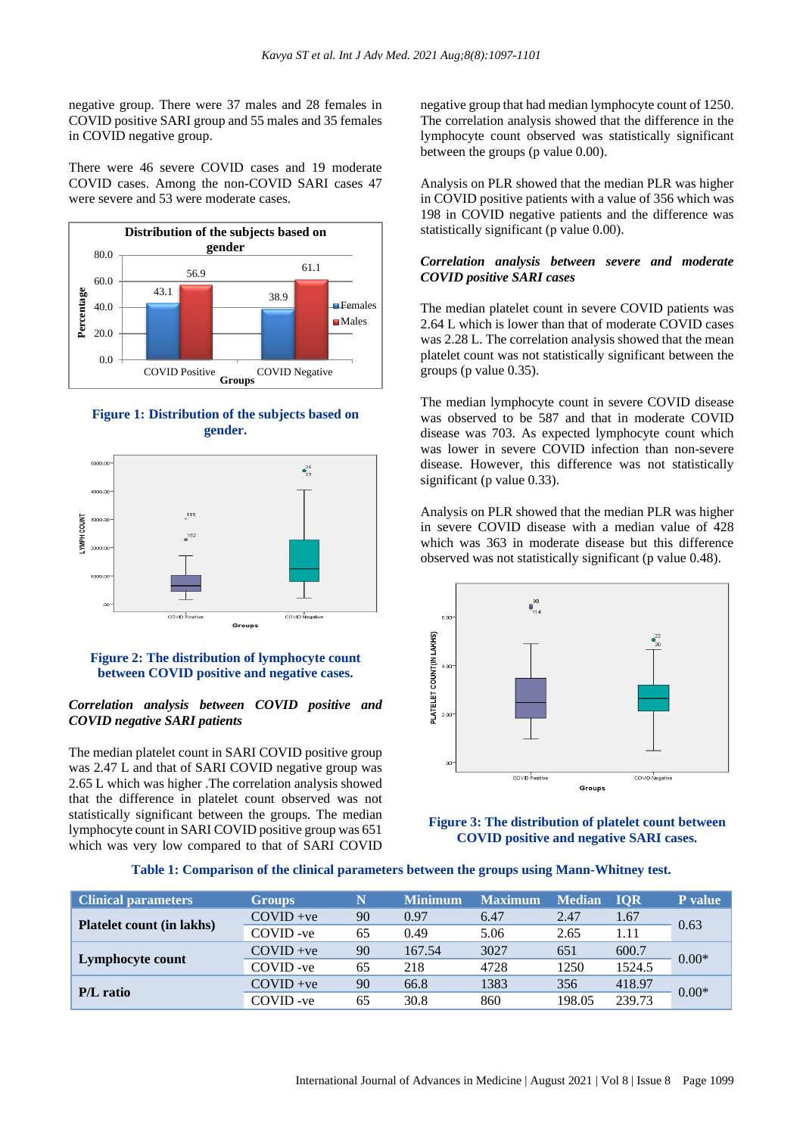negative group. There were 37 males and 28 females in COVID positive SARI group and 55 males and 35 females in COVID negative group.

There were 46 severe COVID cases and 19 moderate COVID cases. Among the non-COVID SARI cases 47 were severe and 53 were moderate cases.







# **Figure 2: The distribution of lymphocyte count between COVID positive and negative cases.**

### *Correlation analysis between COVID positive and COVID negative SARI patients*

The median platelet count in SARI COVID positive group was 2.47 L and that of SARI COVID negative group was 2.65 L which was higher .The correlation analysis showed that the difference in platelet count observed was not statistically significant between the groups. The median lymphocyte count in SARI COVID positive group was 651 which was very low compared to that of SARI COVID

negative group that had median lymphocyte count of 1250. The correlation analysis showed that the difference in the lymphocyte count observed was statistically significant between the groups (p value 0.00).

Analysis on PLR showed that the median PLR was higher in COVID positive patients with a value of 356 which was 198 in COVID negative patients and the difference was statistically significant (p value 0.00).

#### *Correlation analysis between severe and moderate COVID positive SARI cases*

The median platelet count in severe COVID patients was 2.64 L which is lower than that of moderate COVID cases was 2.28 L. The correlation analysis showed that the mean platelet count was not statistically significant between the groups (p value 0.35).

The median lymphocyte count in severe COVID disease was observed to be 587 and that in moderate COVID disease was 703. As expected lymphocyte count which was lower in severe COVID infection than non-severe disease. However, this difference was not statistically significant (p value 0.33).

Analysis on PLR showed that the median PLR was higher in severe COVID disease with a median value of 428 which was 363 in moderate disease but this difference observed was not statistically significant (p value 0.48).



**Figure 3: The distribution of platelet count between COVID positive and negative SARI cases.**

**Table 1: Comparison of the clinical parameters between the groups using Mann-Whitney test.**

| <b>Clinical parameters</b>       | <b>Groups</b> | N  | <b>Minimum</b> | <b>Maximum</b> | <b>Median</b> | <b>IOR</b> | P value |
|----------------------------------|---------------|----|----------------|----------------|---------------|------------|---------|
| <b>Platelet count (in lakhs)</b> | $COVID +ve$   | 90 | 0.97           | 6.47           | 2.47          | 1.67       | 0.63    |
|                                  | COVID-ve      | 65 | 0.49           | 5.06           | 2.65          | 1.11       |         |
| Lymphocyte count                 | $COVID +ve$   | 90 | 167.54         | 3027           | 651           | 600.7      | $0.00*$ |
|                                  | COVID-ve      | 65 | 218            | 4728           | 1250          | 1524.5     |         |
| <b>P/L</b> ratio                 | $COVID +ve$   | 90 | 66.8           | 1383           | 356           | 418.97     | $0.00*$ |
|                                  | COVID-ve      | 65 | 30.8           | 860            | 198.05        | 239.73     |         |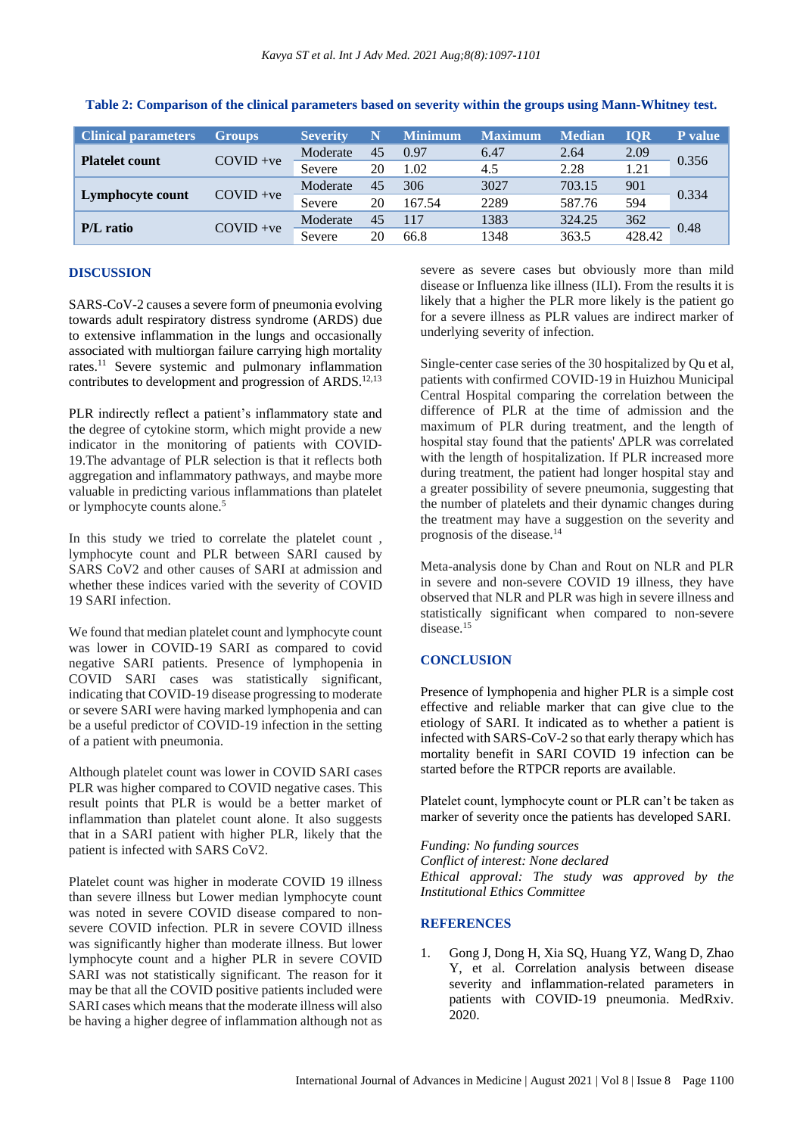| <b>Clinical parameters</b> | <b>Groups</b> | <b>Severity</b> | N  | <b>Minimum</b> | <b>Maximum</b> | <b>Median</b> | <b>IOR</b> | <b>P</b> value |
|----------------------------|---------------|-----------------|----|----------------|----------------|---------------|------------|----------------|
| <b>Platelet count</b>      | $COVID +ve$   | Moderate        | 45 | 0.97           | 6.47           | 2.64          | 2.09       | 0.356          |
|                            |               | Severe          | 20 | 1.02           | 4.5            | 2.28          | 1.21       |                |
| Lymphocyte count           | $COVID +ve$   | Moderate        | 45 | 306            | 3027           | 703.15        | 901        | 0.334          |
|                            |               | Severe          | 20 | 167.54         | 2289           | 587.76        | 594        |                |
| <b>P/L</b> ratio           | $COVID +ve$   | Moderate        | 45 | 117            | 1383           | 324.25        | 362        | 0.48           |
|                            |               | Severe          | 20 | 66.8           | 1348           | 363.5         | 428.42     |                |

**Table 2: Comparison of the clinical parameters based on severity within the groups using Mann-Whitney test.**

## **DISCUSSION**

SARS-CoV-2 causes a severe form of pneumonia evolving towards adult respiratory distress syndrome (ARDS) due to extensive inflammation in the lungs and occasionally associated with multiorgan failure carrying high mortality rates.<sup>11</sup> Severe systemic and pulmonary inflammation contributes to development and progression of ARDS.<sup>12,13</sup>

PLR indirectly reflect a patient's inflammatory state and the degree of cytokine storm, which might provide a new indicator in the monitoring of patients with COVID‐ 19.The advantage of PLR selection is that it reflects both aggregation and inflammatory pathways, and maybe more valuable in predicting various inflammations than platelet or lymphocyte counts alone.<sup>5</sup>

In this study we tried to correlate the platelet count , lymphocyte count and PLR between SARI caused by SARS CoV2 and other causes of SARI at admission and whether these indices varied with the severity of COVID 19 SARI infection.

We found that median platelet count and lymphocyte count was lower in COVID-19 SARI as compared to covid negative SARI patients. Presence of lymphopenia in COVID SARI cases was statistically significant, indicating that COVID-19 disease progressing to moderate or severe SARI were having marked lymphopenia and can be a useful predictor of COVID-19 infection in the setting of a patient with pneumonia.

Although platelet count was lower in COVID SARI cases PLR was higher compared to COVID negative cases. This result points that PLR is would be a better market of inflammation than platelet count alone. It also suggests that in a SARI patient with higher PLR, likely that the patient is infected with SARS CoV2.

Platelet count was higher in moderate COVID 19 illness than severe illness but Lower median lymphocyte count was noted in severe COVID disease compared to nonsevere COVID infection. PLR in severe COVID illness was significantly higher than moderate illness. But lower lymphocyte count and a higher PLR in severe COVID SARI was not statistically significant. The reason for it may be that all the COVID positive patients included were SARI cases which means that the moderate illness will also be having a higher degree of inflammation although not as

severe as severe cases but obviously more than mild disease or Influenza like illness (ILI). From the results it is likely that a higher the PLR more likely is the patient go for a severe illness as PLR values are indirect marker of underlying severity of infection.

Single-center case series of the 30 hospitalized by Qu et al, patients with confirmed COVID‐19 in Huizhou Municipal Central Hospital comparing the correlation between the difference of PLR at the time of admission and the maximum of PLR during treatment, and the length of hospital stay found that the patients' ΔPLR was correlated with the length of hospitalization. If PLR increased more during treatment, the patient had longer hospital stay and a greater possibility of severe pneumonia, suggesting that the number of platelets and their dynamic changes during the treatment may have a suggestion on the severity and prognosis of the disease. 14

Meta-analysis done by Chan and Rout on NLR and PLR in severe and non-severe COVID 19 illness, they have observed that NLR and PLR was high in severe illness and statistically significant when compared to non-severe disease.<sup>15</sup>

# **CONCLUSION**

Presence of lymphopenia and higher PLR is a simple cost effective and reliable marker that can give clue to the etiology of SARI. It indicated as to whether a patient is infected with SARS-CoV-2 so that early therapy which has mortality benefit in SARI COVID 19 infection can be started before the RTPCR reports are available.

Platelet count, lymphocyte count or PLR can't be taken as marker of severity once the patients has developed SARI.

#### *Funding: No funding sources*

*Conflict of interest: None declared Ethical approval: The study was approved by the Institutional Ethics Committee*

#### **REFERENCES**

1. Gong J, Dong H, Xia SQ, Huang YZ, Wang D, Zhao Y, et al. Correlation analysis between disease severity and inflammation-related parameters in patients with COVID-19 pneumonia. MedRxiv. 2020.